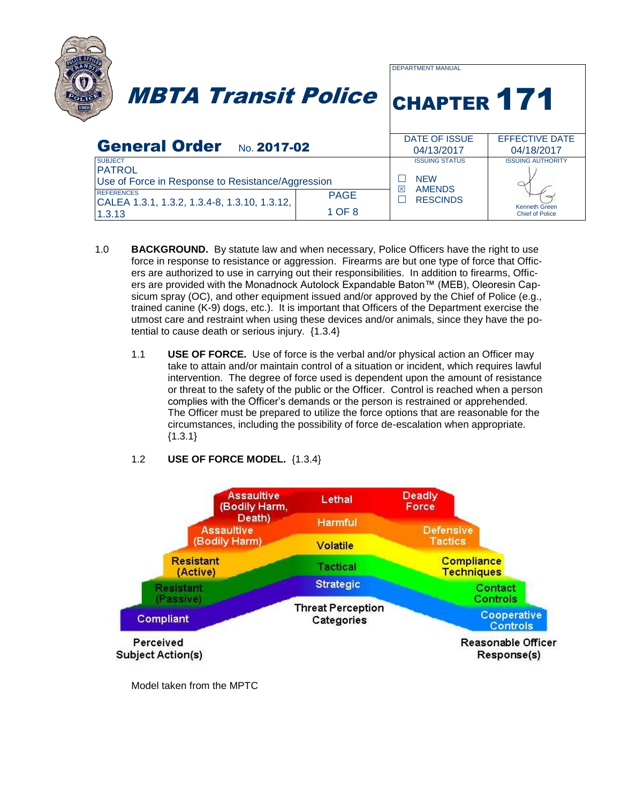|                                                                                      |                       | <b>DEPARTMENT MANUAL</b>              |                                                |
|--------------------------------------------------------------------------------------|-----------------------|---------------------------------------|------------------------------------------------|
| <b>MBTA Transit Police</b>                                                           |                       | <b>CHAPTER 171</b>                    |                                                |
| General Order No. 2017-02                                                            |                       | DATE OF ISSUE<br>04/13/2017           | <b>EFFECTIVE DATE</b><br>04/18/2017            |
| <b>SUBJECT</b><br><b>PATROL</b><br>Use of Force in Response to Resistance/Aggression |                       | <b>ISSUING STATUS</b><br><b>NFW</b>   | <b>ISSUING AUTHORITY</b>                       |
| <b>REFERENCES</b><br>CALEA 1.3.1, 1.3.2, 1.3.4-8, 1.3.10, 1.3.12,<br>1.3.13          | <b>PAGE</b><br>1 OF 8 | 冈<br><b>AMENDS</b><br><b>RESCINDS</b> | <b>Kenneth Green</b><br><b>Chief of Police</b> |

- 1.0 **BACKGROUND.** By statute law and when necessary, Police Officers have the right to use force in response to resistance or aggression. Firearms are but one type of force that Officers are authorized to use in carrying out their responsibilities. In addition to firearms, Officers are provided with the Monadnock Autolock Expandable Baton™ (MEB), Oleoresin Capsicum spray (OC), and other equipment issued and/or approved by the Chief of Police (e.g., trained canine (K-9) dogs, etc.). It is important that Officers of the Department exercise the utmost care and restraint when using these devices and/or animals, since they have the potential to cause death or serious injury. {1.3.4}
	- 1.1 **USE OF FORCE.** Use of force is the verbal and/or physical action an Officer may take to attain and/or maintain control of a situation or incident, which requires lawful intervention. The degree of force used is dependent upon the amount of resistance or threat to the safety of the public or the Officer. Control is reached when a person complies with the Officer's demands or the person is restrained or apprehended. The Officer must be prepared to utilize the force options that are reasonable for the circumstances, including the possibility of force de-escalation when appropriate.  ${1.3.1}$
	- 1.2 **USE OF FORCE MODEL.** {1.3.4}



Model taken from the MPTC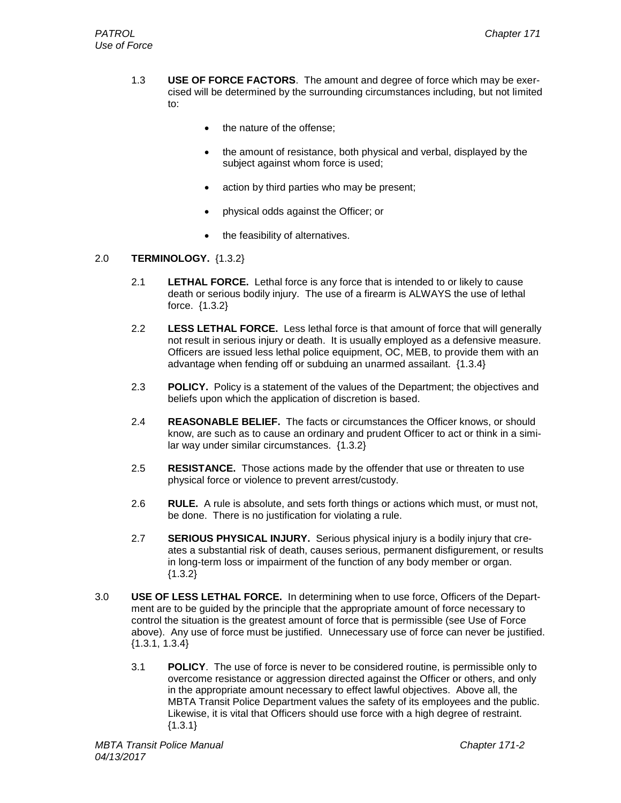- 1.3 **USE OF FORCE FACTORS**. The amount and degree of force which may be exercised will be determined by the surrounding circumstances including, but not limited to:
	- the nature of the offense;
	- the amount of resistance, both physical and verbal, displayed by the subject against whom force is used;
	- action by third parties who may be present;
	- physical odds against the Officer; or
	- the feasibility of alternatives.

## 2.0 **TERMINOLOGY.** {1.3.2}

- 2.1 **LETHAL FORCE.** Lethal force is any force that is intended to or likely to cause death or serious bodily injury. The use of a firearm is ALWAYS the use of lethal force. {1.3.2}
- 2.2 **LESS LETHAL FORCE.** Less lethal force is that amount of force that will generally not result in serious injury or death. It is usually employed as a defensive measure. Officers are issued less lethal police equipment, OC, MEB, to provide them with an advantage when fending off or subduing an unarmed assailant. {1.3.4}
- 2.3 **POLICY.** Policy is a statement of the values of the Department; the objectives and beliefs upon which the application of discretion is based.
- 2.4 **REASONABLE BELIEF.** The facts or circumstances the Officer knows, or should know, are such as to cause an ordinary and prudent Officer to act or think in a similar way under similar circumstances. {1.3.2}
- 2.5 **RESISTANCE.** Those actions made by the offender that use or threaten to use physical force or violence to prevent arrest/custody.
- 2.6 **RULE.** A rule is absolute, and sets forth things or actions which must, or must not, be done. There is no justification for violating a rule.
- 2.7 **SERIOUS PHYSICAL INJURY.** Serious physical injury is a bodily injury that creates a substantial risk of death, causes serious, permanent disfigurement, or results in long-term loss or impairment of the function of any body member or organ. {1.3.2}
- 3.0 **USE OF LESS LETHAL FORCE.** In determining when to use force, Officers of the Department are to be guided by the principle that the appropriate amount of force necessary to control the situation is the greatest amount of force that is permissible (see Use of Force above). Any use of force must be justified. Unnecessary use of force can never be justified. {1.3.1, 1.3.4}
	- 3.1 **POLICY**. The use of force is never to be considered routine, is permissible only to overcome resistance or aggression directed against the Officer or others, and only in the appropriate amount necessary to effect lawful objectives. Above all, the MBTA Transit Police Department values the safety of its employees and the public. Likewise, it is vital that Officers should use force with a high degree of restraint.  ${1.3.1}$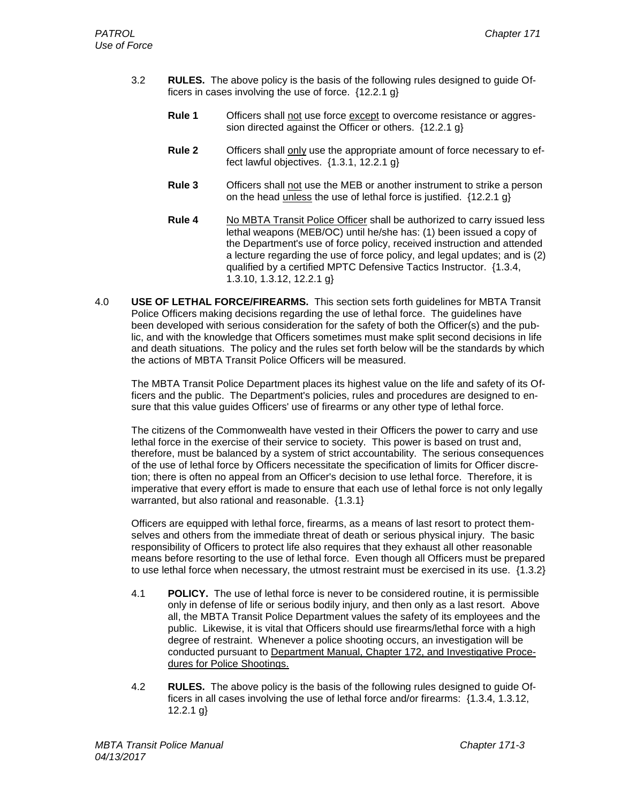- 3.2 **RULES.** The above policy is the basis of the following rules designed to guide Officers in cases involving the use of force. {12.2.1 g}
	- **Rule 1** Officers shall not use force except to overcome resistance or aggression directed against the Officer or others. {12.2.1 g}
	- **Rule 2** Officers shall only use the appropriate amount of force necessary to effect lawful objectives. {1.3.1, 12.2.1 g}
	- **Rule 3** Officers shall not use the MEB or another instrument to strike a person on the head unless the use of lethal force is justified.  $\{12.2.1 \text{ g}\}$
	- **Rule 4** No MBTA Transit Police Officer shall be authorized to carry issued less lethal weapons (MEB/OC) until he/she has: (1) been issued a copy of the Department's use of force policy, received instruction and attended a lecture regarding the use of force policy, and legal updates; and is (2) qualified by a certified MPTC Defensive Tactics Instructor. {1.3.4, 1.3.10, 1.3.12, 12.2.1 g}
- 4.0 **USE OF LETHAL FORCE/FIREARMS.** This section sets forth guidelines for MBTA Transit Police Officers making decisions regarding the use of lethal force. The guidelines have been developed with serious consideration for the safety of both the Officer(s) and the public, and with the knowledge that Officers sometimes must make split second decisions in life and death situations. The policy and the rules set forth below will be the standards by which the actions of MBTA Transit Police Officers will be measured.

The MBTA Transit Police Department places its highest value on the life and safety of its Officers and the public. The Department's policies, rules and procedures are designed to ensure that this value guides Officers' use of firearms or any other type of lethal force.

The citizens of the Commonwealth have vested in their Officers the power to carry and use lethal force in the exercise of their service to society. This power is based on trust and, therefore, must be balanced by a system of strict accountability. The serious consequences of the use of lethal force by Officers necessitate the specification of limits for Officer discretion; there is often no appeal from an Officer's decision to use lethal force. Therefore, it is imperative that every effort is made to ensure that each use of lethal force is not only legally warranted, but also rational and reasonable. {1.3.1}

Officers are equipped with lethal force, firearms, as a means of last resort to protect themselves and others from the immediate threat of death or serious physical injury. The basic responsibility of Officers to protect life also requires that they exhaust all other reasonable means before resorting to the use of lethal force. Even though all Officers must be prepared to use lethal force when necessary, the utmost restraint must be exercised in its use. {1.3.2}

- 4.1 **POLICY.** The use of lethal force is never to be considered routine, it is permissible only in defense of life or serious bodily injury, and then only as a last resort. Above all, the MBTA Transit Police Department values the safety of its employees and the public. Likewise, it is vital that Officers should use firearms/lethal force with a high degree of restraint. Whenever a police shooting occurs, an investigation will be conducted pursuant to Department Manual, Chapter 172, and Investigative Procedures for Police Shootings.
- 4.2 **RULES.** The above policy is the basis of the following rules designed to guide Officers in all cases involving the use of lethal force and/or firearms: {1.3.4, 1.3.12, 12.2.1 g}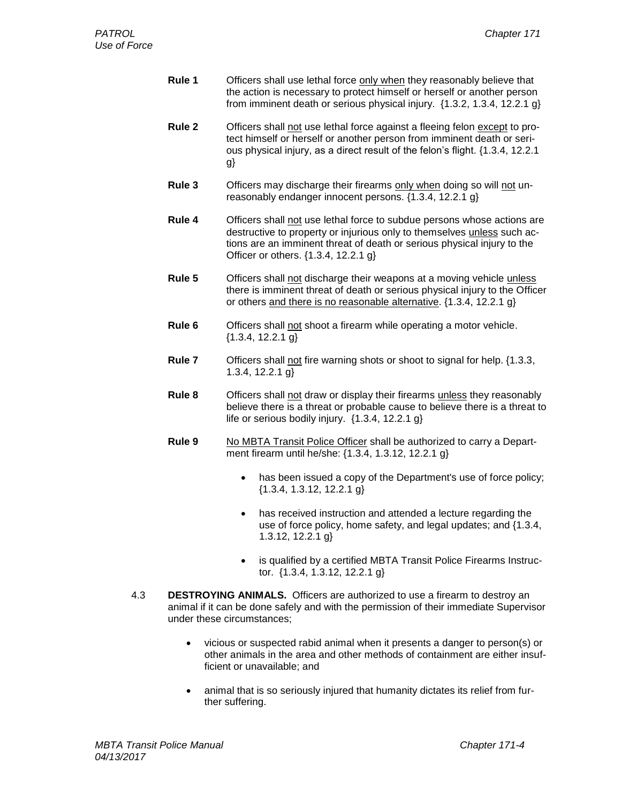- **Rule 1** Officers shall use lethal force only when they reasonably believe that the action is necessary to protect himself or herself or another person from imminent death or serious physical injury.  $\{1.3.2, 1.3.4, 12.2.1, g\}$
- **Rule 2** Officers shall not use lethal force against a fleeing felon except to protect himself or herself or another person from imminent death or serious physical injury, as a direct result of the felon's flight. {1.3.4, 12.2.1 g}
- **Rule 3** Officers may discharge their firearms only when doing so will not unreasonably endanger innocent persons. {1.3.4, 12.2.1 g}
- **Rule 4** Officers shall not use lethal force to subdue persons whose actions are destructive to property or injurious only to themselves unless such actions are an imminent threat of death or serious physical injury to the Officer or others. {1.3.4, 12.2.1 g}
- **Rule 5** Officers shall not discharge their weapons at a moving vehicle unless there is imminent threat of death or serious physical injury to the Officer or others and there is no reasonable alternative. {1.3.4, 12.2.1 g}
- **Rule 6** Officers shall not shoot a firearm while operating a motor vehicle.  ${1.3.4, 12.2.1 g}$
- **Rule 7** Officers shall not fire warning shots or shoot to signal for help. {1.3.3, 1.3.4, 12.2.1 g}
- **Rule 8** Officers shall not draw or display their firearms unless they reasonably believe there is a threat or probable cause to believe there is a threat to life or serious bodily injury. {1.3.4, 12.2.1 g}
- **Rule 9** No MBTA Transit Police Officer shall be authorized to carry a Department firearm until he/she: {1.3.4, 1.3.12, 12.2.1 g}
	- has been issued a copy of the Department's use of force policy; {1.3.4, 1.3.12, 12.2.1 g}
	- has received instruction and attended a lecture regarding the use of force policy, home safety, and legal updates; and {1.3.4, 1.3.12, 12.2.1 g}
	- is qualified by a certified MBTA Transit Police Firearms Instructor. {1.3.4, 1.3.12, 12.2.1 g}
- 4.3 **DESTROYING ANIMALS.** Officers are authorized to use a firearm to destroy an animal if it can be done safely and with the permission of their immediate Supervisor under these circumstances;
	- vicious or suspected rabid animal when it presents a danger to person(s) or other animals in the area and other methods of containment are either insufficient or unavailable; and
	- animal that is so seriously injured that humanity dictates its relief from further suffering.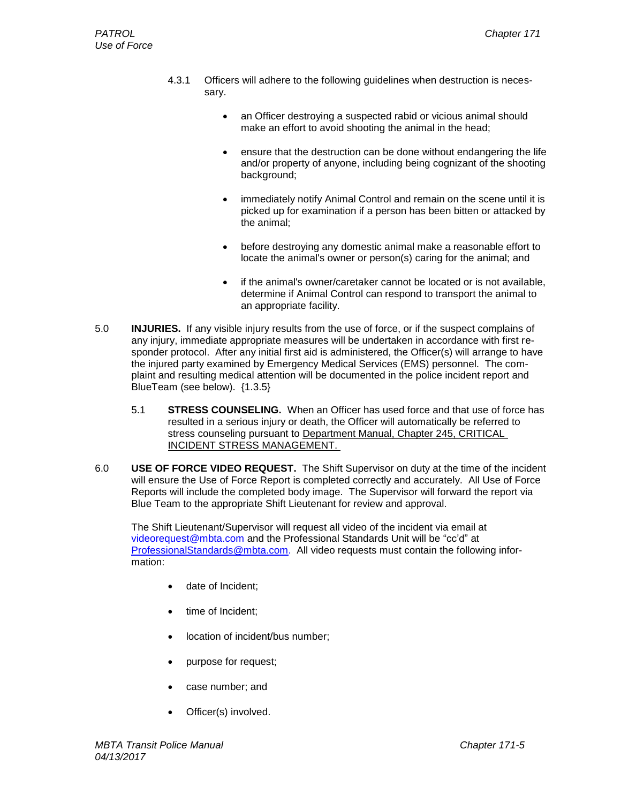- 4.3.1 Officers will adhere to the following guidelines when destruction is necessary.
	- an Officer destroying a suspected rabid or vicious animal should make an effort to avoid shooting the animal in the head;
	- ensure that the destruction can be done without endangering the life and/or property of anyone, including being cognizant of the shooting background;
	- immediately notify Animal Control and remain on the scene until it is picked up for examination if a person has been bitten or attacked by the animal;
	- before destroying any domestic animal make a reasonable effort to locate the animal's owner or person(s) caring for the animal; and
	- if the animal's owner/caretaker cannot be located or is not available, determine if Animal Control can respond to transport the animal to an appropriate facility.
- 5.0 **INJURIES.** If any visible injury results from the use of force, or if the suspect complains of any injury, immediate appropriate measures will be undertaken in accordance with first responder protocol. After any initial first aid is administered, the Officer(s) will arrange to have the injured party examined by Emergency Medical Services (EMS) personnel. The complaint and resulting medical attention will be documented in the police incident report and BlueTeam (see below). {1.3.5}
	- 5.1 **STRESS COUNSELING.** When an Officer has used force and that use of force has resulted in a serious injury or death, the Officer will automatically be referred to stress counseling pursuant to [Department Manual, Chapter 245, CRITICAL](file:///C:/Documents%20and%20Settings/rspinosa/CHAPTERS/Chapter%20245-Critical%20Incident%20Stress%20Management1.doc)  [INCIDENT STRESS MANAGEMENT.](file:///C:/Documents%20and%20Settings/rspinosa/CHAPTERS/Chapter%20245-Critical%20Incident%20Stress%20Management1.doc)
- 6.0 **USE OF FORCE VIDEO REQUEST.** The Shift Supervisor on duty at the time of the incident will ensure the Use of Force Report is completed correctly and accurately. All Use of Force Reports will include the completed body image. The Supervisor will forward the report via Blue Team to the appropriate Shift Lieutenant for review and approval.

The Shift Lieutenant/Supervisor will request all video of the incident via email at videorequest@mbta.com and the Professional Standards Unit will be "cc'd" at [ProfessionalStandards@mbta.com.](mailto:ProfessionalStandards@mbta.com) All video requests must contain the following information:

- date of Incident;
- time of Incident;
- location of incident/bus number;
- purpose for request;
- case number; and
- Officer(s) involved.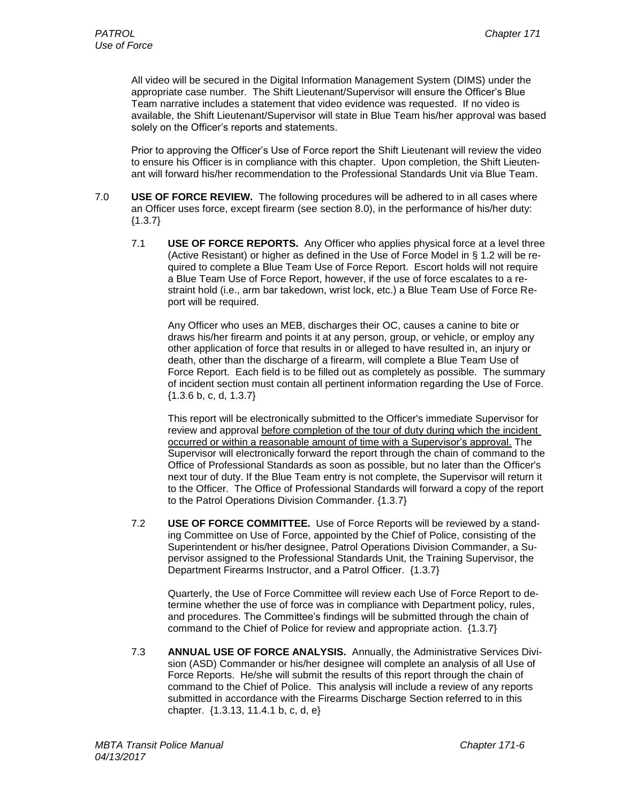All video will be secured in the Digital Information Management System (DIMS) under the appropriate case number. The Shift Lieutenant/Supervisor will ensure the Officer's Blue Team narrative includes a statement that video evidence was requested. If no video is available, the Shift Lieutenant/Supervisor will state in Blue Team his/her approval was based solely on the Officer's reports and statements.

Prior to approving the Officer's Use of Force report the Shift Lieutenant will review the video to ensure his Officer is in compliance with this chapter. Upon completion, the Shift Lieutenant will forward his/her recommendation to the Professional Standards Unit via Blue Team.

- 7.0 **USE OF FORCE REVIEW.** The following procedures will be adhered to in all cases where an Officer uses force, except firearm (see section 8.0), in the performance of his/her duty:  ${1.3.7}$ 
	- 7.1 **USE OF FORCE REPORTS.** Any Officer who applies physical force at a level three (Active Resistant) or higher as defined in the Use of Force Model in § 1.2 will be required to complete a Blue Team Use of Force Report. Escort holds will not require a Blue Team Use of Force Report, however, if the use of force escalates to a restraint hold (i.e., arm bar takedown, wrist lock, etc.) a Blue Team Use of Force Report will be required.

Any Officer who uses an MEB, discharges their OC, causes a canine to bite or draws his/her firearm and points it at any person, group, or vehicle, or employ any other application of force that results in or alleged to have resulted in, an injury or death, other than the discharge of a firearm, will complete a Blue Team Use of Force Report. Each field is to be filled out as completely as possible. The summary of incident section must contain all pertinent information regarding the Use of Force. {1.3.6 b, c, d, 1.3.7}

This report will be electronically submitted to the Officer's immediate Supervisor for review and approval before completion of the tour of duty during which the incident occurred or within a reasonable amount of time with a Supervisor's approval. The Supervisor will electronically forward the report through the chain of command to the Office of Professional Standards as soon as possible, but no later than the Officer's next tour of duty. If the Blue Team entry is not complete, the Supervisor will return it to the Officer. The Office of Professional Standards will forward a copy of the report to the Patrol Operations Division Commander. {1.3.7}

7.2 **USE OF FORCE COMMITTEE.** Use of Force Reports will be reviewed by a standing Committee on Use of Force, appointed by the Chief of Police, consisting of the Superintendent or his/her designee, Patrol Operations Division Commander, a Supervisor assigned to the Professional Standards Unit, the Training Supervisor, the Department Firearms Instructor, and a Patrol Officer. {1.3.7}

Quarterly, the Use of Force Committee will review each Use of Force Report to determine whether the use of force was in compliance with Department policy, rules, and procedures. The Committee's findings will be submitted through the chain of command to the Chief of Police for review and appropriate action. {1.3.7}

7.3 **ANNUAL USE OF FORCE ANALYSIS.** Annually, the Administrative Services Division (ASD) Commander or his/her designee will complete an analysis of all Use of Force Reports. He/she will submit the results of this report through the chain of command to the Chief of Police. This analysis will include a review of any reports submitted in accordance with the Firearms Discharge Section referred to in this chapter. {1.3.13, 11.4.1 b, c, d, e}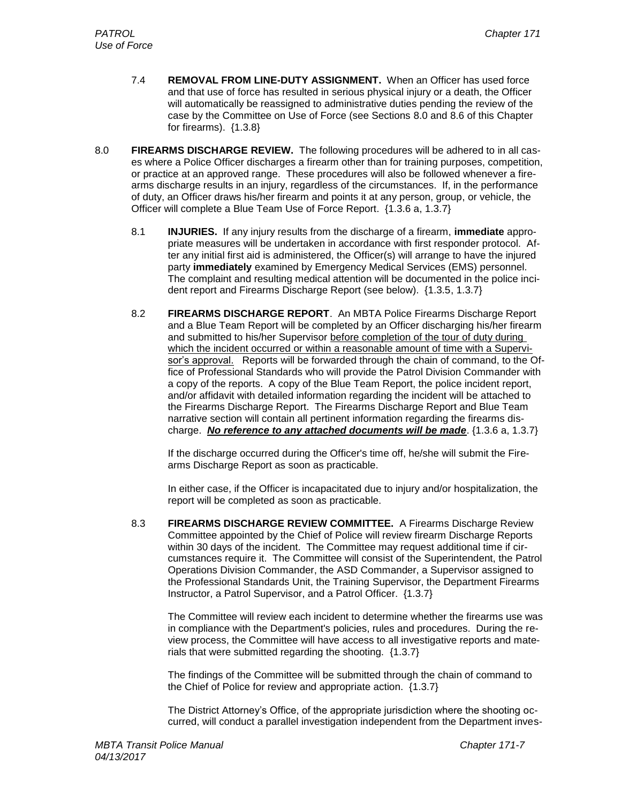- 7.4 **REMOVAL FROM LINE-DUTY ASSIGNMENT.** When an Officer has used force and that use of force has resulted in serious physical injury or a death, the Officer will automatically be reassigned to administrative duties pending the review of the case by the Committee on Use of Force (see Sections 8.0 and 8.6 of this Chapter for firearms). {1.3.8}
- 8.0 **FIREARMS DISCHARGE REVIEW.** The following procedures will be adhered to in all cases where a Police Officer discharges a firearm other than for training purposes, competition, or practice at an approved range. These procedures will also be followed whenever a firearms discharge results in an injury, regardless of the circumstances. If, in the performance of duty, an Officer draws his/her firearm and points it at any person, group, or vehicle, the Officer will complete a Blue Team Use of Force Report. {1.3.6 a, 1.3.7}
	- 8.1 **INJURIES.** If any injury results from the discharge of a firearm, **immediate** appropriate measures will be undertaken in accordance with first responder protocol. After any initial first aid is administered, the Officer(s) will arrange to have the injured party **immediately** examined by Emergency Medical Services (EMS) personnel. The complaint and resulting medical attention will be documented in the police incident report and Firearms Discharge Report (see below). {1.3.5, 1.3.7}
	- 8.2 **FIREARMS DISCHARGE REPORT**. An MBTA Police Firearms Discharge Report and a Blue Team Report will be completed by an Officer discharging his/her firearm and submitted to his/her Supervisor before completion of the tour of duty during which the incident occurred or within a reasonable amount of time with a Supervisor's approval. Reports will be forwarded through the chain of command, to the Office of Professional Standards who will provide the Patrol Division Commander with a copy of the reports. A copy of the Blue Team Report, the police incident report, and/or affidavit with detailed information regarding the incident will be attached to the Firearms Discharge Report. The Firearms Discharge Report and Blue Team narrative section will contain all pertinent information regarding the firearms discharge. *No reference to any attached documents will be made*. {1.3.6 a, 1.3.7}

If the discharge occurred during the Officer's time off, he/she will submit the Firearms Discharge Report as soon as practicable.

In either case, if the Officer is incapacitated due to injury and/or hospitalization, the report will be completed as soon as practicable.

8.3 **FIREARMS DISCHARGE REVIEW COMMITTEE.** A Firearms Discharge Review Committee appointed by the Chief of Police will review firearm Discharge Reports within 30 days of the incident. The Committee may request additional time if circumstances require it. The Committee will consist of the Superintendent, the Patrol Operations Division Commander, the ASD Commander, a Supervisor assigned to the Professional Standards Unit, the Training Supervisor, the Department Firearms Instructor, a Patrol Supervisor, and a Patrol Officer. {1.3.7}

The Committee will review each incident to determine whether the firearms use was in compliance with the Department's policies, rules and procedures. During the review process, the Committee will have access to all investigative reports and materials that were submitted regarding the shooting. {1.3.7}

The findings of the Committee will be submitted through the chain of command to the Chief of Police for review and appropriate action. {1.3.7}

The District Attorney's Office, of the appropriate jurisdiction where the shooting occurred, will conduct a parallel investigation independent from the Department inves